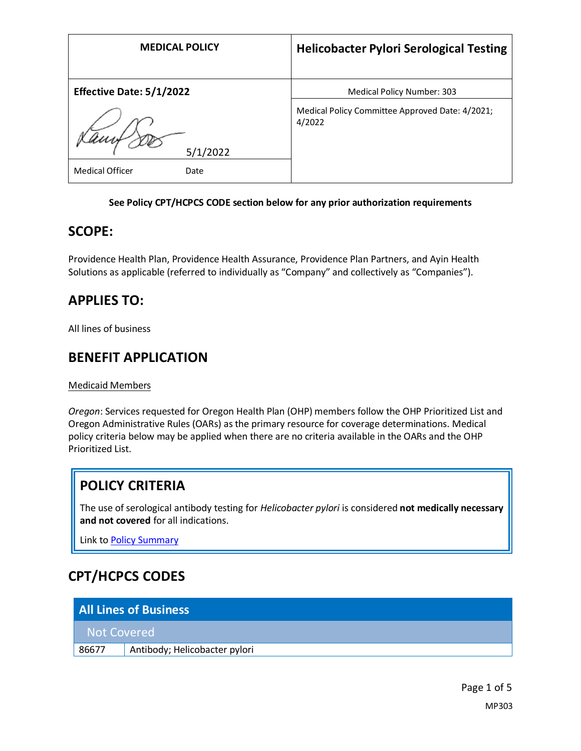| <b>MEDICAL POLICY</b>           | <b>Helicobacter Pylori Serological Testing</b>            |
|---------------------------------|-----------------------------------------------------------|
| <b>Effective Date: 5/1/2022</b> | Medical Policy Number: 303                                |
|                                 | Medical Policy Committee Approved Date: 4/2021;<br>4/2022 |
| 5/1/2022                        |                                                           |
| <b>Medical Officer</b><br>Date  |                                                           |

#### **See Policy CPT/HCPCS CODE section below for any prior authorization requirements**

### **SCOPE:**

Providence Health Plan, Providence Health Assurance, Providence Plan Partners, and Ayin Health Solutions as applicable (referred to individually as "Company" and collectively as "Companies").

# **APPLIES TO:**

All lines of business

### **BENEFIT APPLICATION**

Medicaid Members

*Oregon*: Services requested for Oregon Health Plan (OHP) members follow the OHP Prioritized List and Oregon Administrative Rules (OARs) as the primary resource for coverage determinations. Medical policy criteria below may be applied when there are no criteria available in the OARs and the OHP Prioritized List.

# **POLICY CRITERIA**

The use of serological antibody testing for *Helicobacter pylori* is considered **not medically necessary and not covered** for all indications.

Link t[o Policy Summary](#page-2-0)

# **CPT/HCPCS CODES**

| <b>All Lines of Business</b> |                               |  |
|------------------------------|-------------------------------|--|
| Not Covered                  |                               |  |
| 86677                        | Antibody; Helicobacter pylori |  |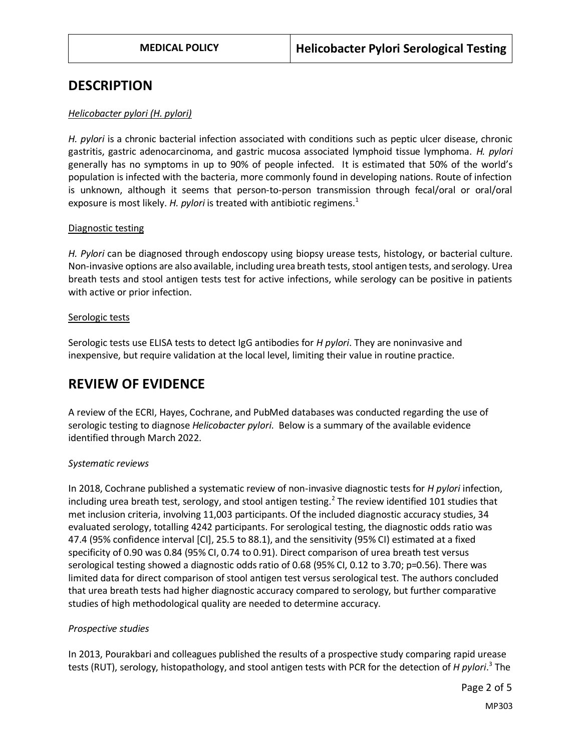### **DESCRIPTION**

#### *Helicobacter pylori (H. pylori)*

*H. pylori* is a chronic bacterial infection associated with conditions such as peptic ulcer disease, chronic gastritis, gastric adenocarcinoma, and gastric mucosa associated lymphoid tissue lymphoma. *H. pylori* generally has no symptoms in up to 90% of people infected. It is estimated that 50% of the world's population is infected with the bacteria, more commonly found in developing nations. Route of infection is unknown, although it seems that person-to-person transmission through fecal/oral or oral/oral exposure is most likely. *H. pylori* is treated with antibiotic regimens.<sup>1</sup>

#### Diagnostic testing

*H. Pylori* can be diagnosed through endoscopy using biopsy urease tests, histology, or bacterial culture. Non-invasive options are also available, including urea breath tests, stool antigen tests, and serology. Urea breath tests and stool antigen tests test for active infections, while serology can be positive in patients with active or prior infection.

#### Serologic tests

Serologic tests use ELISA tests to detect IgG antibodies for *H pylori*. They are noninvasive and inexpensive, but require validation at the local level, limiting their value in routine practice.

# **REVIEW OF EVIDENCE**

A review of the ECRI, Hayes, Cochrane, and PubMed databases was conducted regarding the use of serologic testing to diagnose *Helicobacter pylori*. Below is a summary of the available evidence identified through March 2022.

#### *Systematic reviews*

In 2018, Cochrane published a systematic review of non-invasive diagnostic tests for *H pylori* infection, including urea breath test, serology, and stool antigen testing.<sup>2</sup> The review identified 101 studies that met inclusion criteria, involving 11,003 participants. Of the included diagnostic accuracy studies, 34 evaluated serology, totalling 4242 participants. For serological testing, the diagnostic odds ratio was 47.4 (95% confidence interval [CI], 25.5 to 88.1), and the sensitivity (95% CI) estimated at a fixed specificity of 0.90 was 0.84 (95% CI, 0.74 to 0.91). Direct comparison of urea breath test versus serological testing showed a diagnostic odds ratio of 0.68 (95% CI, 0.12 to 3.70; p=0.56). There was limited data for direct comparison of stool antigen test versus serological test. The authors concluded that urea breath tests had higher diagnostic accuracy compared to serology, but further comparative studies of high methodological quality are needed to determine accuracy.

#### *Prospective studies*

In 2013, Pourakbari and colleagues published the results of a prospective study comparing rapid urease tests (RUT), serology, histopathology, and stool antigen tests with PCR for the detection of *H pylori*. 3 The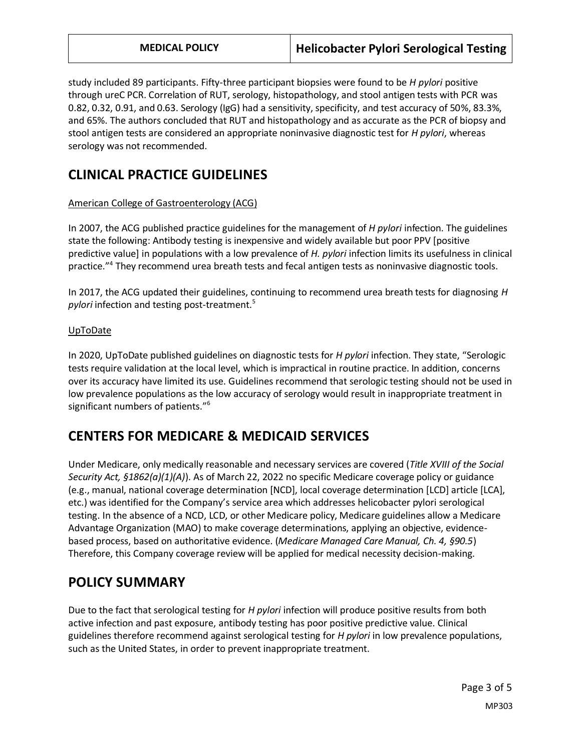study included 89 participants. Fifty-three participant biopsies were found to be *H pylori* positive through ureC PCR. Correlation of RUT, serology, histopathology, and stool antigen tests with PCR was 0.82, 0.32, 0.91, and 0.63. Serology (IgG) had a sensitivity, specificity, and test accuracy of 50%, 83.3%, and 65%. The authors concluded that RUT and histopathology and as accurate as the PCR of biopsy and stool antigen tests are considered an appropriate noninvasive diagnostic test for *H pylori*, whereas serology was not recommended.

## **CLINICAL PRACTICE GUIDELINES**

#### American College of Gastroenterology (ACG)

In 2007, the ACG published practice guidelines for the management of *H pylori* infection. The guidelines state the following: Antibody testing is inexpensive and widely available but poor PPV [positive predictive value] in populations with a low prevalence of *H. pylori* infection limits its usefulness in clinical practice."<sup>4</sup> They recommend urea breath tests and fecal antigen tests as noninvasive diagnostic tools.

In 2017, the ACG updated their guidelines, continuing to recommend urea breath tests for diagnosing *H pylori* infection and testing post-treatment.<sup>5</sup>

#### UpToDate

In 2020, UpToDate published guidelines on diagnostic tests for *H pylori* infection. They state, "Serologic tests require validation at the local level, which is impractical in routine practice. In addition, concerns over its accuracy have limited its use. Guidelines recommend that serologic testing should not be used in low prevalence populations as the low accuracy of serology would result in inappropriate treatment in significant numbers of patients."<sup>6</sup>

# **CENTERS FOR MEDICARE & MEDICAID SERVICES**

Under Medicare, only medically reasonable and necessary services are covered (*Title XVIII of the Social Security Act, §1862(a)(1)(A)*). As of March 22, 2022 no specific Medicare coverage policy or guidance (e.g., manual, national coverage determination [NCD], local coverage determination [LCD] article [LCA], etc.) was identified for the Company's service area which addresses helicobacter pylori serological testing. In the absence of a NCD, LCD, or other Medicare policy, Medicare guidelines allow a Medicare Advantage Organization (MAO) to make coverage determinations, applying an objective, evidencebased process, based on authoritative evidence. (*Medicare Managed Care Manual, Ch. 4, §90.5*) Therefore, this Company coverage review will be applied for medical necessity decision-making.

# <span id="page-2-0"></span>**POLICY SUMMARY**

Due to the fact that serological testing for *H pylori* infection will produce positive results from both active infection and past exposure, antibody testing has poor positive predictive value. Clinical guidelines therefore recommend against serological testing for *H pylori* in low prevalence populations, such as the United States, in order to prevent inappropriate treatment.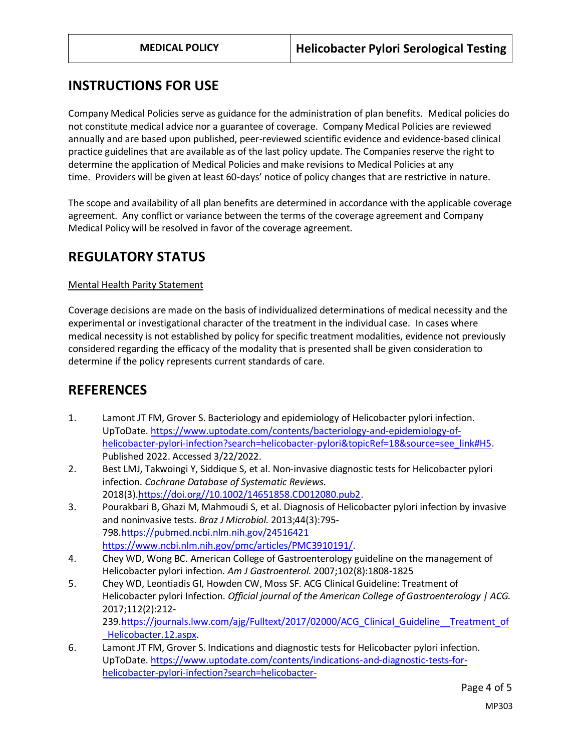## **INSTRUCTIONS FOR USE**

Company Medical Policies serve as guidance for the administration of plan benefits. Medical policies do not constitute medical advice nor a guarantee of coverage. Company Medical Policies are reviewed annually and are based upon published, peer-reviewed scientific evidence and evidence-based clinical practice guidelines that are available as of the last policy update. The Companies reserve the right to determine the application of Medical Policies and make revisions to Medical Policies at any time. Providers will be given at least 60-days' notice of policy changes that are restrictive in nature.

The scope and availability of all plan benefits are determined in accordance with the applicable coverage agreement. Any conflict or variance between the terms of the coverage agreement and Company Medical Policy will be resolved in favor of the coverage agreement.

## **REGULATORY STATUS**

#### Mental Health Parity Statement

Coverage decisions are made on the basis of individualized determinations of medical necessity and the experimental or investigational character of the treatment in the individual case. In cases where medical necessity is not established by policy for specific treatment modalities, evidence not previously considered regarding the efficacy of the modality that is presented shall be given consideration to determine if the policy represents current standards of care.

### **REFERENCES**

- 1. Lamont JT FM, Grover S. Bacteriology and epidemiology of Helicobacter pylori infection. UpToDate[. https://www.uptodate.com/contents/bacteriology-and-epidemiology-of](https://www.uptodate.com/contents/bacteriology-and-epidemiology-of-helicobacter-pylori-infection?search=helicobacter-pylori&topicRef=18&source=see_link#H5)[helicobacter-pylori-infection?search=helicobacter-pylori&topicRef=18&source=see\\_link#H5.](https://www.uptodate.com/contents/bacteriology-and-epidemiology-of-helicobacter-pylori-infection?search=helicobacter-pylori&topicRef=18&source=see_link#H5) Published 2022. Accessed 3/22/2022.
- 2. Best LMJ, Takwoingi Y, Siddique S, et al. Non‐invasive diagnostic tests for Helicobacter pylori infection. *Cochrane Database of Systematic Reviews.*  2018(3[\).https://doi.org//10.1002/14651858.CD012080.pub2.](https://doi.org/10.1002/14651858.CD012080.pub2)
- 3. Pourakbari B, Ghazi M, Mahmoudi S, et al. Diagnosis of Helicobacter pylori infection by invasive and noninvasive tests. *Braz J Microbiol.* 2013;44(3):795- 798[.https://pubmed.ncbi.nlm.nih.gov/24516421](https://pubmed.ncbi.nlm.nih.gov/24516421) [https://www.ncbi.nlm.nih.gov/pmc/articles/PMC3910191/.](https://www.ncbi.nlm.nih.gov/pmc/articles/PMC3910191/)
- 4. Chey WD, Wong BC. American College of Gastroenterology guideline on the management of Helicobacter pylori infection. *Am J Gastroenterol.* 2007;102(8):1808-1825
- 5. Chey WD, Leontiadis GI, Howden CW, Moss SF. ACG Clinical Guideline: Treatment of Helicobacter pylori Infection. *Official journal of the American College of Gastroenterology | ACG.*  2017;112(2):212- 239[.https://journals.lww.com/ajg/Fulltext/2017/02000/ACG\\_Clinical\\_Guideline\\_\\_Treatment\\_of](https://journals.lww.com/ajg/Fulltext/2017/02000/ACG_Clinical_Guideline__Treatment_of_Helicobacter.12.aspx) [\\_Helicobacter.12.aspx.](https://journals.lww.com/ajg/Fulltext/2017/02000/ACG_Clinical_Guideline__Treatment_of_Helicobacter.12.aspx)
- 6. Lamont JT FM, Grover S. Indications and diagnostic tests for Helicobacter pylori infection. UpToDate[. https://www.uptodate.com/contents/indications-and-diagnostic-tests-for](https://www.uptodate.com/contents/indications-and-diagnostic-tests-for-helicobacter-pylori-infection?search=helicobacter-pylori&source=search_result&selectedTitle=2~150&usage_type=default&display_rank=2#H18)[helicobacter-pylori-infection?search=helicobacter-](https://www.uptodate.com/contents/indications-and-diagnostic-tests-for-helicobacter-pylori-infection?search=helicobacter-pylori&source=search_result&selectedTitle=2~150&usage_type=default&display_rank=2#H18)